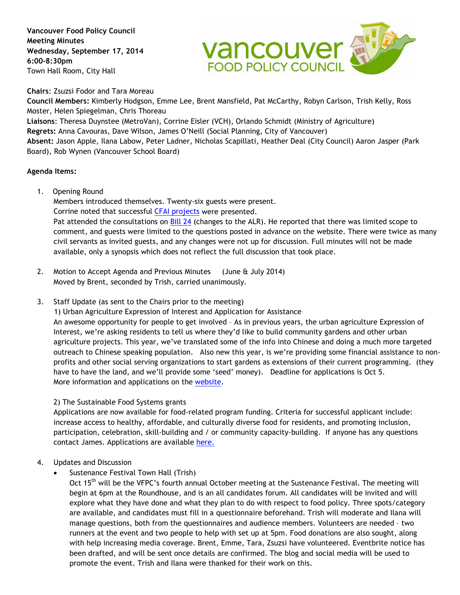**Vancouver Food Policy Council Meeting Minutes Wednesday, September 17, 2014 6:00-8:30pm** Town Hall Room, City Hall



**Chairs**: Zsuzsi Fodor and Tara Moreau

**Council Members:** Kimberly Hodgson, Emme Lee, Brent Mansfield, Pat McCarthy, Robyn Carlson, Trish Kelly, Ross Moster, Helen Spiegelman, Chris Thoreau

**Liaisons**: Theresa Duynstee (MetroVan), Corrine Eisler (VCH), Orlando Schmidt (Ministry of Agriculture) **Regrets:** Anna Cavouras, Dave Wilson, James O'Neill (Social Planning, City of Vancouver) **Absent:** Jason Apple, Ilana Labow, Peter Ladner, Nicholas Scapillati, Heather Deal (City Council) Aaron Jasper (Park Board), Rob Wynen (Vancouver School Board)

## **Agenda Items:**

1. Opening Round

Members introduced themselves. Twenty-six guests were present. Corrine noted that successful [CFAI projects](http://www.smartfund.ca/current_food.htm) were presented. Pat attended the consultations on [Bill 24](https://www.leg.bc.ca/40th2nd/1st_read/gov24-1.htm) (changes to the ALR). He reported that there was limited scope to comment, and guests were limited to the questions posted in advance on the website. There were twice as many civil servants as invited guests, and any changes were not up for discussion. Full minutes will not be made available, only a synopsis which does not reflect the full discussion that took place.

- 2. Motion to Accept Agenda and Previous Minutes (June & July 2014) Moved by Brent, seconded by Trish, carried unanimously.
- 3. Staff Update (as sent to the Chairs prior to the meeting)

1) Urban Agriculture Expression of Interest and Application for Assistance An awesome opportunity for people to get involved – As in previous years, the urban agriculture Expression of Interest, we're asking residents to tell us where they'd like to build community gardens and other urban agriculture projects. This year, we've translated some of the info into Chinese and doing a much more targeted outreach to Chinese speaking population. Also new this year, is we're providing some financial assistance to nonprofits and other social serving organizations to start gardens as extensions of their current programming. (they have to have the land, and we'll provide some 'seed' money). Deadline for applications is Oct 5. More information and applications on the [website.](http://www.vancouver.ca/communitygardens)

2) The Sustainable Food Systems grants

Applications are now available for food-related program funding. Criteria for successful applicant include: increase access to healthy, affordable, and culturally diverse food for residents, and promoting inclusion, participation, celebration, skill-building and / or community capacity-building. If anyone has any questions contact James. Applications are available here.

- 4. Updates and Discussion
	- Sustenance Festival Town Hall (Trish)

Oct 15<sup>th</sup> will be the VFPC's fourth annual October meeting at the Sustenance Festival. The meeting will begin at 6pm at the Roundhouse, and is an all candidates forum. All candidates will be invited and will explore what they have done and what they plan to do with respect to food policy. Three spots/category are available, and candidates must fill in a questionnaire beforehand. Trish will moderate and Ilana will manage questions, both from the questionnaires and audience members. Volunteers are needed – two runners at the event and two people to help with set up at 5pm. Food donations are also sought, along with help increasing media coverage. Brent, Emme, Tara, Zsuzsi have volunteered. Eventbrite notice has been drafted, and will be sent once details are confirmed. The blog and social media will be used to promote the event. Trish and Ilana were thanked for their work on this.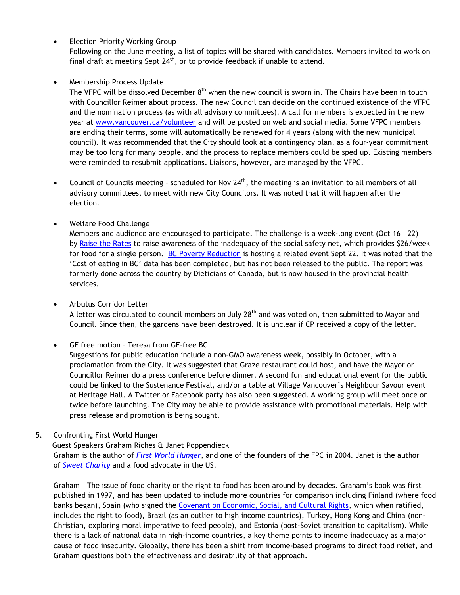**Election Priority Working Group** 

Following on the June meeting, a list of topics will be shared with candidates. Members invited to work on final draft at meeting Sept  $24^{th}$ , or to provide feedback if unable to attend.

## • Membership Process Update

The VFPC will be dissolved December 8<sup>th</sup> when the new council is sworn in. The Chairs have been in touch with Councillor Reimer about process. The new Council can decide on the continued existence of the VFPC and the nomination process (as with all advisory committees). A call for members is expected in the new year at [www.vancouver.ca/volunteer](http://www.vancouver.ca/volunteer) and will be posted on web and social media. Some VFPC members are ending their terms, some will automatically be renewed for 4 years (along with the new municipal council). It was recommended that the City should look at a contingency plan, as a four-year commitment may be too long for many people, and the process to replace members could be sped up. Existing members were reminded to resubmit applications. Liaisons, however, are managed by the VFPC.

- Council of Councils meeting scheduled for Nov  $24<sup>th</sup>$ , the meeting is an invitation to all members of all advisory committees, to meet with new City Councilors. It was noted that it will happen after the election.
- Welfare Food Challenge

Members and audience are encouraged to participate. The challenge is a week-long event (Oct 16 – 22) by [Raise the Rates](http://raisetherates.org/) to raise awareness of the inadequacy of the social safety net, which provides \$26/week for food for a single person. [BC Poverty Reduction](http://bcpovertyreduction.ca/) is hosting a related event Sept 22. It was noted that the 'Cost of eating in BC' data has been completed, but has not been released to the public. The report was formerly done across the country by Dieticians of Canada, but is now housed in the provincial health services.

• Arbutus Corridor Letter

A letter was circulated to council members on July  $28<sup>th</sup>$  and was voted on, then submitted to Mayor and Council. Since then, the gardens have been destroyed. It is unclear if CP received a copy of the letter.

• GE free motion – Teresa from GE-free BC

Suggestions for public education include a non-GMO awareness week, possibly in October, with a proclamation from the City. It was suggested that Graze restaurant could host, and have the Mayor or Councillor Reimer do a press conference before dinner. A second fun and educational event for the public could be linked to the Sustenance Festival, and/or a table at Village Vancouver's Neighbour Savour event at Heritage Hall. A Twitter or Facebook party has also been suggested. A working group will meet once or twice before launching. The City may be able to provide assistance with promotional materials. Help with press release and promotion is being sought.

5. Confronting First World Hunger

Guest Speakers Graham Riches & Janet Poppendieck

Graham is the author of *[First World](http://www.amazon.ca/First-World-Hunger-Security-Politics/dp/1551930110) Hunger*, and one of the founders of the FPC in 2004. Janet is the author of *[Sweet Charity](http://www.amazon.ca/Sweet-Charity-Emergency-Food-Entitlement/dp/0140245561/ref=sr_1_3?s=books&ie=UTF8&qid=1411666460&sr=1-3&keywords=Sweet+Charity)* and a food advocate in the US.

Graham – The issue of food charity or the right to food has been around by decades. Graham's book was first published in 1997, and has been updated to include more countries for comparison including Finland (where food banks began), Spain (who signed the Covenant [on Economic, Social, and Cultural Rights,](http://www.ohchr.org/EN/ProfessionalInterest/Pages/CESCR.aspx) which when ratified, includes the right to food), Brazil (as an outlier to high income countries), Turkey, Hong Kong and China (non-Christian, exploring moral imperative to feed people), and Estonia (post-Soviet transition to capitalism). While there is a lack of national data in high-income countries, a key theme points to income inadequacy as a major cause of food insecurity. Globally, there has been a shift from income-based programs to direct food relief, and Graham questions both the effectiveness and desirability of that approach.